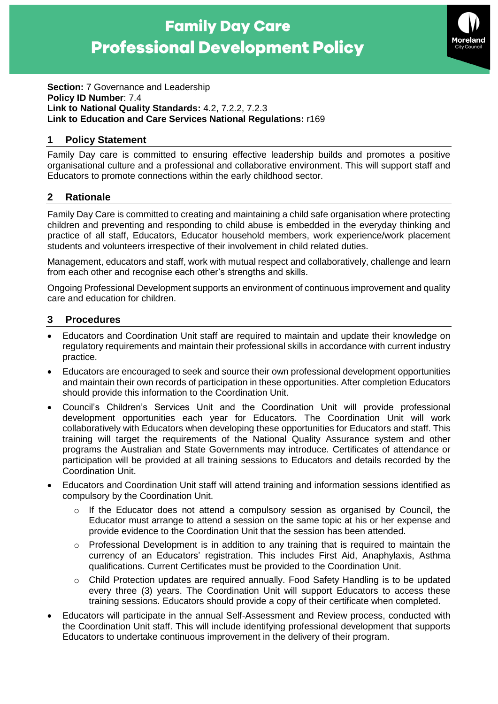# **Family Day Care Professional Development Policy**



**Section:** 7 Governance and Leadership **Policy ID Number**: 7.4 **Link to National Quality Standards:** 4.2, 7.2.2, 7.2.3 **Link to Education and Care Services National Regulations:** r169

## **1 Policy Statement**

Family Day care is committed to ensuring effective leadership builds and promotes a positive organisational culture and a professional and collaborative environment. This will support staff and Educators to promote connections within the early childhood sector.

### **2 Rationale**

Family Day Care is committed to creating and maintaining a child safe organisation where protecting children and preventing and responding to child abuse is embedded in the everyday thinking and practice of all staff, Educators, Educator household members, work experience/work placement students and volunteers irrespective of their involvement in child related duties.

Management, educators and staff, work with mutual respect and collaboratively, challenge and learn from each other and recognise each other's strengths and skills.

Ongoing Professional Development supports an environment of continuous improvement and quality care and education for children.

#### **3 Procedures**

- Educators and Coordination Unit staff are required to maintain and update their knowledge on regulatory requirements and maintain their professional skills in accordance with current industry practice.
- Educators are encouraged to seek and source their own professional development opportunities and maintain their own records of participation in these opportunities. After completion Educators should provide this information to the Coordination Unit.
- Council's Children's Services Unit and the Coordination Unit will provide professional development opportunities each year for Educators. The Coordination Unit will work collaboratively with Educators when developing these opportunities for Educators and staff. This training will target the requirements of the National Quality Assurance system and other programs the Australian and State Governments may introduce. Certificates of attendance or participation will be provided at all training sessions to Educators and details recorded by the Coordination Unit.
- Educators and Coordination Unit staff will attend training and information sessions identified as compulsory by the Coordination Unit.
	- $\circ$  If the Educator does not attend a compulsory session as organised by Council, the Educator must arrange to attend a session on the same topic at his or her expense and provide evidence to the Coordination Unit that the session has been attended.
	- $\circ$  Professional Development is in addition to any training that is required to maintain the currency of an Educators' registration. This includes First Aid, Anaphylaxis, Asthma qualifications. Current Certificates must be provided to the Coordination Unit.
	- o Child Protection updates are required annually. Food Safety Handling is to be updated every three (3) years. The Coordination Unit will support Educators to access these training sessions. Educators should provide a copy of their certificate when completed.
- Educators will participate in the annual Self-Assessment and Review process, conducted with the Coordination Unit staff. This will include identifying professional development that supports Educators to undertake continuous improvement in the delivery of their program.